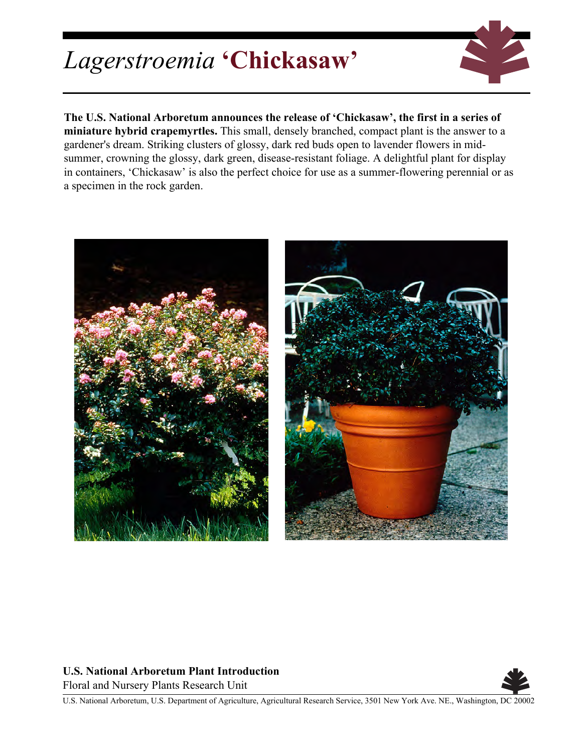## *Lagerstroemia* **'Chickasaw'**



**The U.S. National Arboretum announces the release of 'Chickasaw', the first in a series of miniature hybrid crapemyrtles.** This small, densely branched, compact plant is the answer to a gardener's dream. Striking clusters of glossy, dark red buds open to lavender flowers in midsummer, crowning the glossy, dark green, disease-resistant foliage. A delightful plant for display in containers, 'Chickasaw' is also the perfect choice for use as a summer-flowering perennial or as a specimen in the rock garden.



## **U.S. National Arboretum Plant Introduction**

Floral and Nursery Plants Research Unit



U.S. National Arboretum, U.S. Department of Agriculture, Agricultural Research Service, 3501 New York Ave. NE., Washington, DC 20002